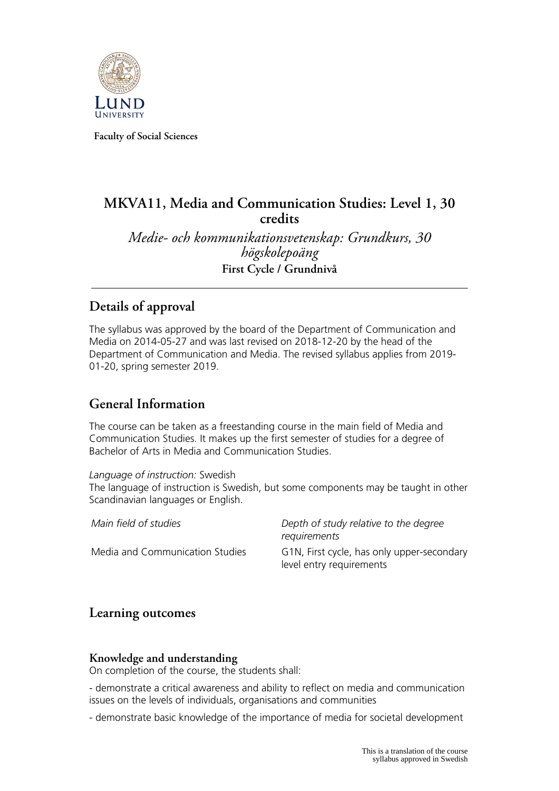

**Faculty of Social Sciences**

# **MKVA11, Media and Communication Studies: Level 1, 30 credits**

*Medie- och kommunikationsvetenskap: Grundkurs, 30 högskolepoäng* **First Cycle / Grundnivå**

# **Details of approval**

The syllabus was approved by the board of the Department of Communication and Media on 2014-05-27 and was last revised on 2018-12-20 by the head of the Department of Communication and Media. The revised syllabus applies from 2019- 01-20, spring semester 2019.

# **General Information**

The course can be taken as a freestanding course in the main field of Media and Communication Studies. It makes up the first semester of studies for a degree of Bachelor of Arts in Media and Communication Studies.

*Language of instruction:* Swedish

The language of instruction is Swedish, but some components may be taught in other Scandinavian languages or English.

| Main field of studies           | Depth of study relative to the degree<br>requirements                  |
|---------------------------------|------------------------------------------------------------------------|
| Media and Communication Studies | G1N, First cycle, has only upper-secondary<br>level entry requirements |

## **Learning outcomes**

## **Knowledge and understanding**

On completion of the course, the students shall:

- demonstrate a critical awareness and ability to reflect on media and communication issues on the levels of individuals, organisations and communities

- demonstrate basic knowledge of the importance of media for societal development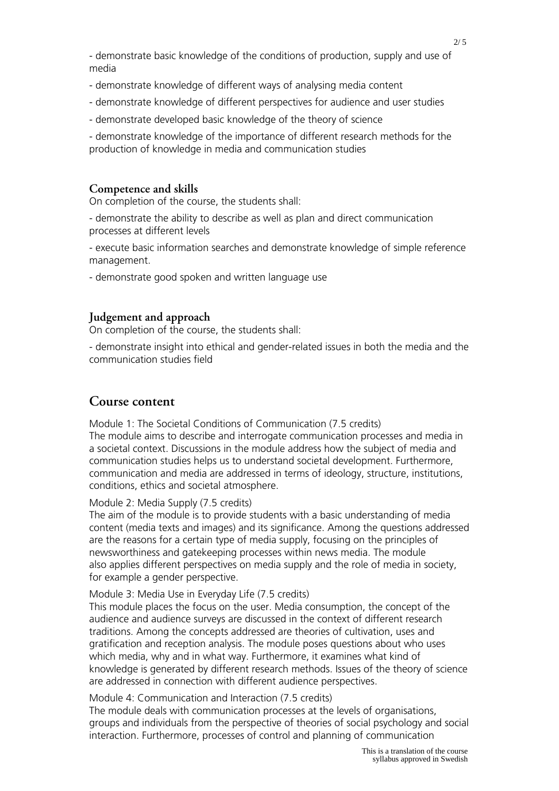- demonstrate knowledge of different ways of analysing media content
- demonstrate knowledge of different perspectives for audience and user studies
- demonstrate developed basic knowledge of the theory of science

- demonstrate knowledge of the importance of different research methods for the production of knowledge in media and communication studies

### **Competence and skills**

On completion of the course, the students shall:

- demonstrate the ability to describe as well as plan and direct communication processes at different levels

- execute basic information searches and demonstrate knowledge of simple reference management.

- demonstrate good spoken and written language use

#### **Judgement and approach**

On completion of the course, the students shall:

- demonstrate insight into ethical and gender-related issues in both the media and the communication studies field

## **Course content**

Module 1: The Societal Conditions of Communication (7.5 credits) The module aims to describe and interrogate communication processes and media in a societal context. Discussions in the module address how the subject of media and communication studies helps us to understand societal development. Furthermore, communication and media are addressed in terms of ideology, structure, institutions, conditions, ethics and societal atmosphere.

Module 2: Media Supply (7.5 credits)

The aim of the module is to provide students with a basic understanding of media content (media texts and images) and its significance. Among the questions addressed are the reasons for a certain type of media supply, focusing on the principles of newsworthiness and gatekeeping processes within news media. The module also applies different perspectives on media supply and the role of media in society, for example a gender perspective.

#### Module 3: Media Use in Everyday Life (7.5 credits)

This module places the focus on the user. Media consumption, the concept of the audience and audience surveys are discussed in the context of different research traditions. Among the concepts addressed are theories of cultivation, uses and gratification and reception analysis. The module poses questions about who uses which media, why and in what way. Furthermore, it examines what kind of knowledge is generated by different research methods. Issues of the theory of science are addressed in connection with different audience perspectives.

#### Module 4: Communication and Interaction (7.5 credits)

The module deals with communication processes at the levels of organisations, groups and individuals from the perspective of theories of social psychology and social interaction. Furthermore, processes of control and planning of communication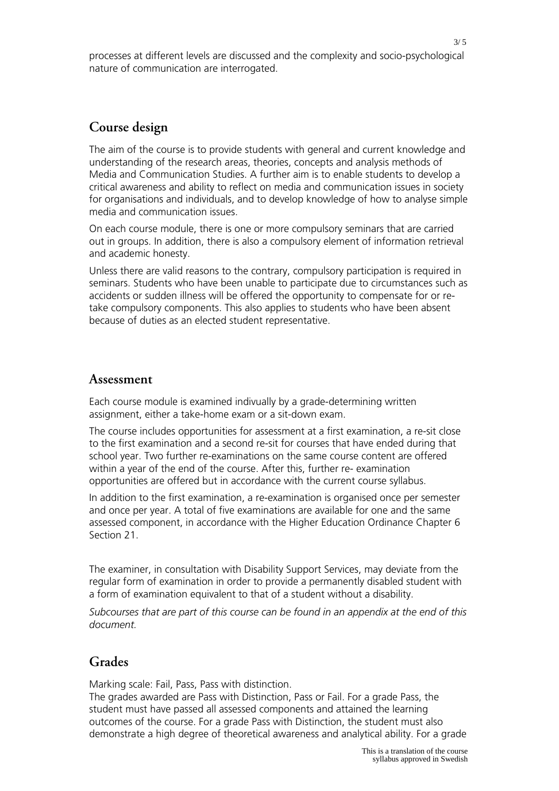processes at different levels are discussed and the complexity and socio-psychological nature of communication are interrogated.

## **Course design**

The aim of the course is to provide students with general and current knowledge and understanding of the research areas, theories, concepts and analysis methods of Media and Communication Studies. A further aim is to enable students to develop a critical awareness and ability to reflect on media and communication issues in society for organisations and individuals, and to develop knowledge of how to analyse simple media and communication issues.

On each course module, there is one or more compulsory seminars that are carried out in groups. In addition, there is also a compulsory element of information retrieval and academic honesty.

Unless there are valid reasons to the contrary, compulsory participation is required in seminars. Students who have been unable to participate due to circumstances such as accidents or sudden illness will be offered the opportunity to compensate for or retake compulsory components. This also applies to students who have been absent because of duties as an elected student representative.

#### **Assessment**

Each course module is examined indivually by a grade-determining written assignment, either a take-home exam or a sit-down exam.

The course includes opportunities for assessment at a first examination, a re-sit close to the first examination and a second re-sit for courses that have ended during that school year. Two further re-examinations on the same course content are offered within a year of the end of the course. After this, further re- examination opportunities are offered but in accordance with the current course syllabus.

In addition to the first examination, a re-examination is organised once per semester and once per year. A total of five examinations are available for one and the same assessed component, in accordance with the Higher Education Ordinance Chapter 6 Section 21.

The examiner, in consultation with Disability Support Services, may deviate from the regular form of examination in order to provide a permanently disabled student with a form of examination equivalent to that of a student without a disability.

*Subcourses that are part of this course can be found in an appendix at the end of this document.*

## **Grades**

Marking scale: Fail, Pass, Pass with distinction.

The grades awarded are Pass with Distinction, Pass or Fail. For a grade Pass, the student must have passed all assessed components and attained the learning outcomes of the course. For a grade Pass with Distinction, the student must also demonstrate a high degree of theoretical awareness and analytical ability. For a grade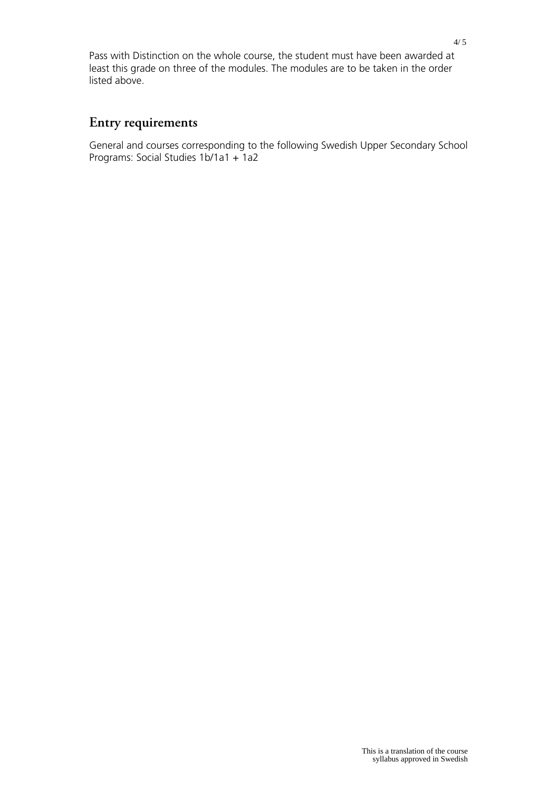Pass with Distinction on the whole course, the student must have been awarded at least this grade on three of the modules. The modules are to be taken in the order listed above.

## **Entry requirements**

General and courses corresponding to the following Swedish Upper Secondary School Programs: Social Studies 1b/1a1 + 1a2